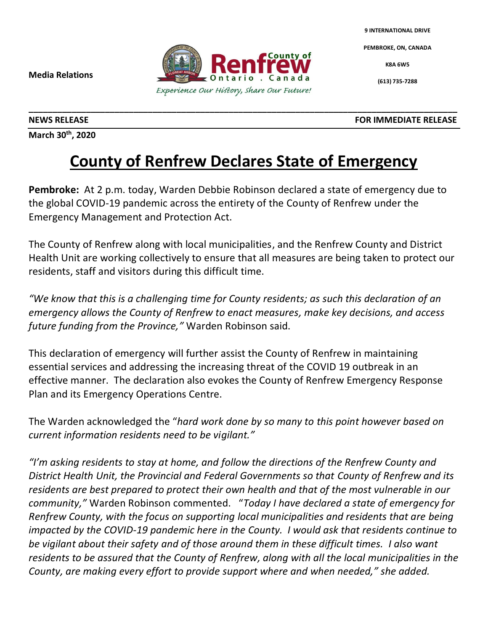**9 INTERNATIONAL DRIVE**

**PEMBROKE, ON, CANADA**

**K8A 6W5**

**(613) 735-7288**

**Media Relations**

**March 30th , 2020**

**NEWS RELEASE**<br> **FOR IMMEDIATE RELEASE** 

## **County of Renfrew Declares State of Emergency**

**\_\_\_\_\_\_\_\_\_\_\_\_\_\_\_\_\_\_\_\_\_\_\_\_\_\_\_\_\_\_\_\_\_\_\_\_\_\_\_\_\_\_\_\_\_\_\_\_\_\_\_\_\_\_\_\_\_\_\_\_\_\_\_\_\_\_\_\_\_\_\_\_\_\_\_\_\_\_\_\_\_\_\_\_\_\_\_\_\_\_**

**Pembroke:** At 2 p.m. today, Warden Debbie Robinson declared a state of emergency due to the global COVID-19 pandemic across the entirety of the County of Renfrew under the Emergency Management and Protection Act.

The County of Renfrew along with local municipalities, and the Renfrew County and District Health Unit are working collectively to ensure that all measures are being taken to protect our residents, staff and visitors during this difficult time.

*"We know that this is a challenging time for County residents; as such this declaration of an emergency allows the County of Renfrew to enact measures, make key decisions, and access future funding from the Province,"* Warden Robinson said.

This declaration of emergency will further assist the County of Renfrew in maintaining essential services and addressing the increasing threat of the COVID 19 outbreak in an effective manner. The declaration also evokes the County of Renfrew Emergency Response Plan and its Emergency Operations Centre.

The Warden acknowledged the "*hard work done by so many to this point however based on current information residents need to be vigilant."*

*"I'm asking residents to stay at home, and follow the directions of the Renfrew County and District Health Unit, the Provincial and Federal Governments so that County of Renfrew and its residents are best prepared to protect their own health and that of the most vulnerable in our community,"* Warden Robinson commented. "*Today I have declared a state of emergency for Renfrew County, with the focus on supporting local municipalities and residents that are being impacted by the COVID-19 pandemic here in the County. I would ask that residents continue to be vigilant about their safety and of those around them in these difficult times. I also want residents to be assured that the County of Renfrew, along with all the local municipalities in the County, are making every effort to provide support where and when needed," she added.*